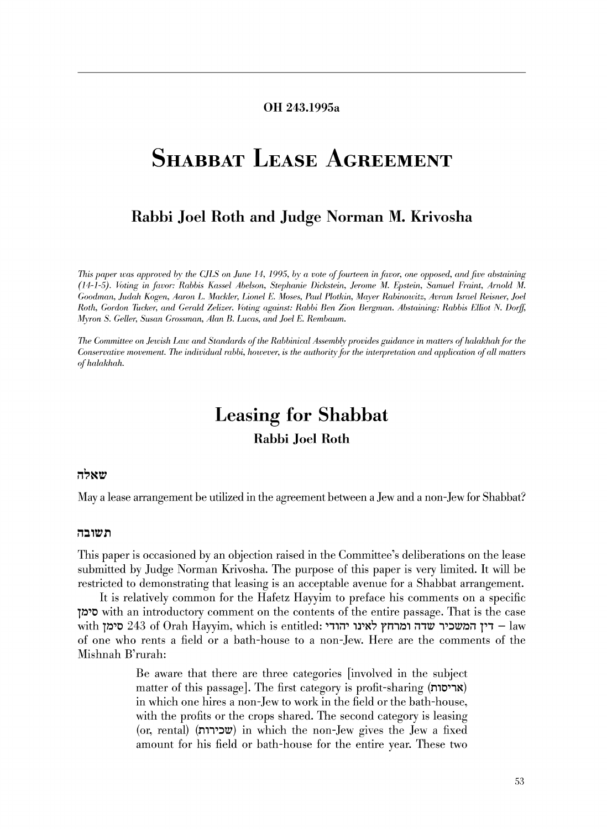### OH 243.1995a

# SHABBAT LEASE AGREEMENT

## Rabbi Joel Roth and Judge Norman M. Krivosha

*This paper was approved by the CJLS on June 14, 1995, by a vote of fourteen in favor, one opposed, and five abstaining* (14-1-5). *Voting in favor: Rabbis Kassel Abelson, Stephanie Dickstein, Jerome M. Epstein, Samuel Fraint, Arnold M. Goodman, Judah Kogen, Aaron L. Mackler, Lionel E. Moses, Paul Plotkin, Maver Rabinowitz, Avram Israel Reisner, Joel Roth, Gordon Tucker, and Gerald Zelizer. Voting against: Rabbi Ben Zion Bergman. Abstaining: Rabbis Elliot N. Dorff,*  $Myron S. Geller, Susan Grossman, Alan B. Lucas, and Joel E. Rembaum.$ 

*The Committee on Jewish Law and Standards of the Rabbinical Assembly provides guidance in matters of halakhah for the Conservative movement. The individual rabbi, however, is the authority for the interpretation and application of all matters*  $of halakhah.$ 

## Leasing for Shabbat

## Rabbi Joel Roth

#### שאלה

May a lease arrangement be utilized in the agreement between a Jew and a non-Jew for Shabbat?

#### תשובה

11lis paper is occasioned by an objection raised in the Committee's deliberations on the lease submitted by Judge Norman Krivosha. The purpose of this paper is very limited. It will be restricted to demonstrating that leasing is an acceptable avenue for a Shabbat arrangement.

It is relatively common for the Hafetz Hayyim to preface his comments on a specific 1~'0 with an introductory comment on the contents of the entire passage. That is the case with 1~1 דין המשכיר שדה ומרחץ לאינו יהודי דורול 243 of Orah Hayyim, which is entitled: די of one who rents a field or a bath-house to a non-Jew. Here are the comments of the Mishnah B'rurah:

> Be aware that there are three categories [involved in the subject matter of this passage]. The first category is profit-sharing (**אריסות**) in which one hires a non-Jew to work in the field or the bath-house, with the profits or the crops shared. The second category is leasing (or, rental) (שכירות) in which the non-Jew gives the Jew a fixed amount for his field or bath-house for the entire year. These two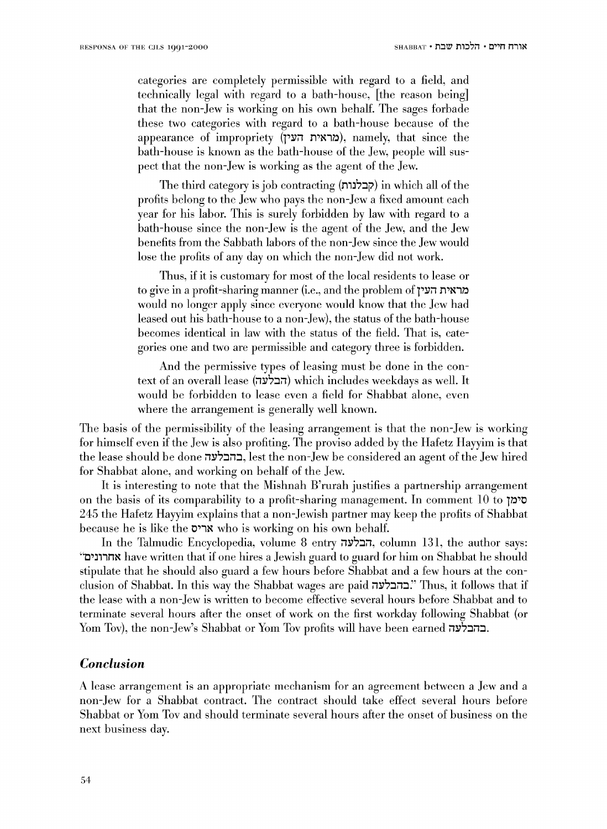categories are completely permissible with regard to a field, and technically legal with regard to a bath-house, [the reason being] that the non-Jew is working on his own behalf. The sages forbade these two categories with regard to a bath-house because of the appearance of impropriety (מראית העין), namely, that since the bath-house is known as the bath-house of the Jew, people will suspect that the non-Jew is working as the agent of the Jew.

The third category is job contracting (קבלנות) in which all of the profits belong to the Jew who pays the non-Jew a fixed amount each year for his labor. This is surely forbidden hy law with regard to a bath-house since the non-Jew is the agent of the Jew, and the Jew benefits from the Sabbath labors of the non-Jew since the Jew would lose the profits of any day on which the non-Jew did not work.

Thus, if it is customary for most of the local residents to lease or to give in a profit-sharing manner (i.e., and the problem of מראית העין would no longer apply since everyone would know that the Jew had leased out his bath-house to a non-Jew), the status of the bath-house becomes identical in law with the status of the field. That is, categories one and two are permissible and category three is forbidden.

And the permissive types of leasing must be done in the context of an overall lease (הבלעה) which includes weekdays as well. It would be forbidden to lease even a field for Shabbat alone, even where the arrangement is generally well known.

The basis of the permissibility of the leasing arrangement is that the non-Jew is working for himself even if the Jew is also profiting. The proviso added by the Hafetz Hayyim is that the lease should be done בהבלעה, lest the non-Jew be considered an agent of the Jew hired for Shabbat alone, and working on behalf of the Jew.

It is interesting to note that the Mishnah B'rurah justifies a partnership arrangement on the basis of its comparability to a profit-sharing management. In comment 10 to  $\overline{O}$  to  $\overline{O}$ 245 the Hafetz Hayyim explains that a non-Jewish partner may keep the profits of Shabbat because he is like the 0'1~ who is working on his own behalf.

In the Talmudic Encyclopedia, volume 8 entry הבלעה, column 131, the author says: "C'J11n~ have written that if one hires a .Jewish guard to guard for him on Shabbat he should stipulate that he should also guard a few hours before Shabbat and a few hours at the conclusion of Shabbat. In this way the Shabbat wages are paid בהבלעה: Thus, it follows that if the lease with a non-Jew is written to become effective several hours before Shabbat and to terminate several hours after the onset of work on the first workday following Shabbat (or Yom Tov), the non-Jew's Shabbat or Yom Tov profits will have been earned .

### *Conclusion*

A lease arrangement is an appropriate mechanism for an agreement between a Jew and a non-Jew for a Shabbat contract. The contract should take effect several hours before Shabbat or Yom Tov and should terminate several hours after the onset of business on the next business day.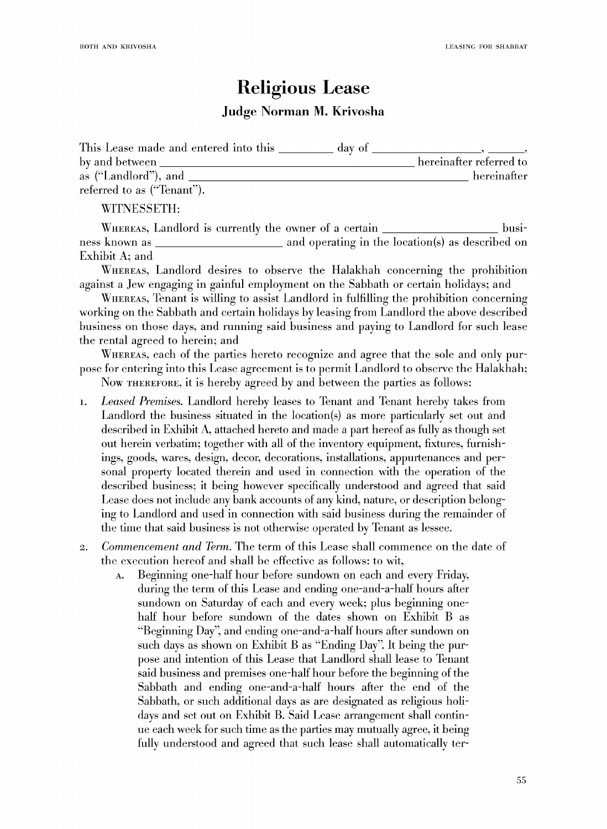## **Religious Lease Judge Norman M. Krivosha**

| This Lease made and entered into this | day of |                         |
|---------------------------------------|--------|-------------------------|
| by and between                        |        | hereinafter referred to |
| as ("Landlord"), and                  |        | hereinafter             |
| referred to as ("Tenant").            |        |                         |

W1TNESSETH:

WHEREAS, Landlord is currently the owner of a certain business known as and operating in the location(s) as described on Exhibit A; and

WHEREAS, Landlord desires to observe the Halakhah concerning the prohibition against a Jew engaging in gainful employment on the Sabbath or certain holidays; and

WnEREAS, Tenant is willing to assist Landlord in fulfilling the prohibition concerning working on the Sabbath and certain holidays by leasing from Landlord the above described business on those days, and running said business and paying to Landlord for such lease the rental agreed to herein; and

WHEREAS, each of the parties hereto recognize and agree that the sole and only purpose for entering into this Lease agreement is to permit Landlord to observe the Halakhah;

Now THEREFORE, it is hereby agreed by and between the parties as follows:

- 1. *Leased Premises.* Landlord hereby leases to Tenant and Tenant hereby takes from Landlord the business situated in the location(s) as more particularly set out and described in Exhibit A, attached hereto and made a part hereof as fully as though set out herein verbatim; together with all of the inventory equipment, fixtures, furnishings, goods, wares, design, decor, decorations, installations, appurtenances and personal property located therein and used in connection with the operation of the described business; it being however specifically understood and agreed that said Lease docs not include any bank accounts of any kind, nature, or description belonging to Landlord and used in connection with said business during the remainder of the time that said business is not otherwise operated by Tenant as lessee.
- 2. *Commencement and Tenn.* The term of this Lease shall commence on the date of the execution hereof and shall be effective as follows: to wit,
	- A. Beginning one-half hour before sundown on each and every Friday, during the term of this Lease and ending one-and-a-half hours after sundown on Saturday of each and every week; plus beginning onehalf hour before sundown of the dates shown on Exhibit B as "Beginning Day", and ending one-and-a-half hours after sundown on such days as shown on Exhibit B as "Ending Day". It being the purpose and intention of this Lease that Landlord shall lease to Tenant said business and premises one-half hour before the beginning of the Sabbath and ending one-and-a-half hours after the end of the Sabbath, or such additional days as are designated as religious holidays and set out on Exhibit B. Said Lease arrangement shall continue each week for such time as the parties may mutually agree, it being fully understood and agreed that such lease shall automatically ter-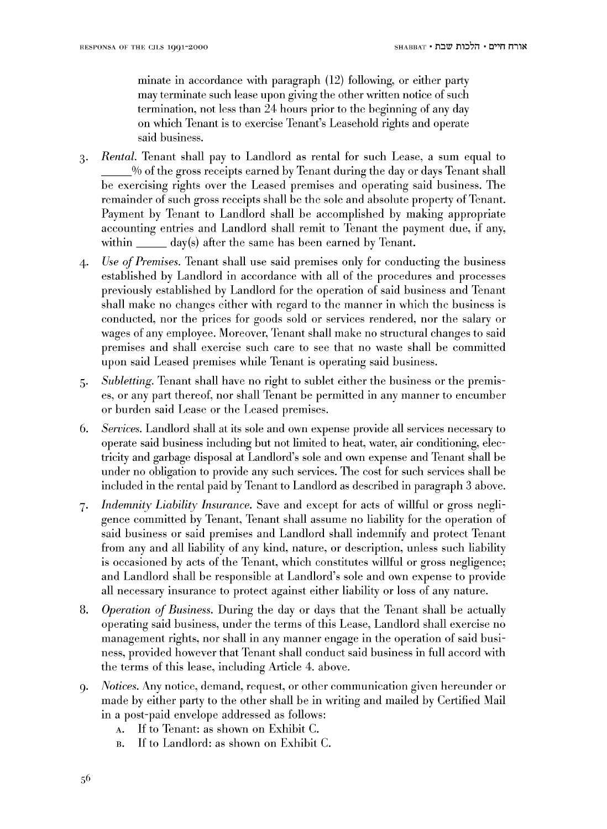minate in accordance with paragraph (12) following, or either party may terminate such lease upon giving the other written notice of such termination, not less than 24 hours prior to the beginning of any day on which Tenant is to exercise Tenant's Leasehold rights and operate said business.

- 3· *Rental.* Tenant shall pay to Landlord as rental for such Lease, a sum equal to \_\_\_ % of the gross receipts earned by Tenant during the day or days Tenant shall be exercising rights over the Leased premises and operating said business. The remainder of such gross receipts shall be the sole and absolute property of Tenant. Payment by Tenant to Landlord shall he accomplished by making appropriate accounting entries and Landlord shall remit to Tenant the payment due, if any, within  $\_\_\_\_$  day(s) after the same has been earned by Tenant.
- 4· *Use of Premises.* Tenant shall use said premises only for conducting the business established by Landlord in accordance with all of the procedures and processes previously established by Landlord for the operation of said business and Tenant shall make no changes either with regard to the manner in which the business is conducted, nor the prices for goods sold or services rendered, nor the salary or wages of any employee. Moreover, Tenant shall make no structural changes to said premises and shall exercise such care to see that no waste shall be committed upon said Leased premises while Tenant is operating said business.
- 5· *Subletting.* Tenant shall have no right to sublet either the business or the premises, or any part thereof, nor shall Tenant be permitted in any manner to encumber or burden said Lease or the Leased premises.
- 6. *Services.* Landlord shall at its sole and own expense provide all services necessary to operate said business including but not limited to heat, water, air conditioning, electricity and garbage disposal at Landlord's sole and own expense and Tenant shall be under no obligation to provide any such services. The cost for such services shall be included in the rental paid by Tenant to Landlord as described in paragraph 3 above.
- 7. *Indemnity Liability Insurance.* Save and except for acts of willful or gross negligence committed by Tenant, Tenant shall assume no liability for the operation of said business or said premises and Landlord shall indemnify and protect Tenant from any and all liability of any kind, nature, or description, unless such liability is occasioned by acts of the Tenant, which constitutes willful or gross negligence; and Landlord shall be responsible at Landlord's sole and own expense to provide all necessary insurance to protect against either liability or loss of any nature.
- 8. *Operation of Business.* During the day or days that the Tenant shall be actually operating said business, under the terms of this Lease, Landlord shall exercise no management rights, nor shall in any manner engage in the operation of said business, provided however that Tenant shall conduct said business in full accord with the terms of this lease, including Article 4. above.
- 9. *Notices.* Any notice, demand, request, or other communication given hereunder or made by either party to the other shall be in writing and mailed by Certified Mail in a post-paid envelope addressed as follows:
	- A. If to Tenant: as shown on Exhibit C.
	- B. If to Landlord: as shown on Exhibit C.